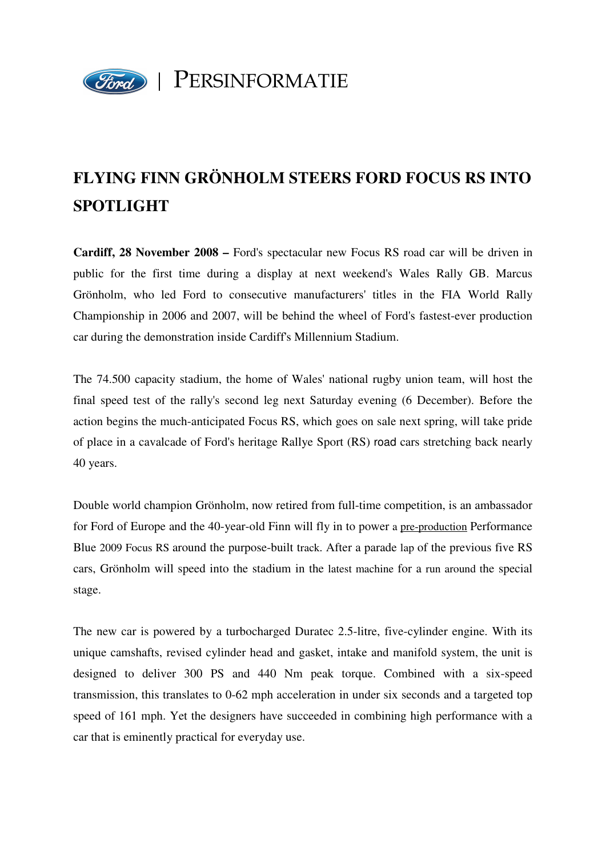

## **FLYING FINN GRÖNHOLM STEERS FORD FOCUS RS INTO SPOTLIGHT**

**Cardiff, 28 November 2008 –** Ford's spectacular new Focus RS road car will be driven in public for the first time during a display at next weekend's Wales Rally GB. Marcus Grönholm, who led Ford to consecutive manufacturers' titles in the FIA World Rally Championship in 2006 and 2007, will be behind the wheel of Ford's fastest-ever production car during the demonstration inside Cardiff's Millennium Stadium.

The 74.500 capacity stadium, the home of Wales' national rugby union team, will host the final speed test of the rally's second leg next Saturday evening (6 December). Before the action begins the much-anticipated Focus RS, which goes on sale next spring, will take pride of place in a cavalcade of Ford's heritage Rallye Sport (RS) road cars stretching back nearly 40 years.

Double world champion Grönholm, now retired from full-time competition, is an ambassador for Ford of Europe and the 40-year-old Finn will fly in to power a pre-production Performance Blue 2009 Focus RS around the purpose-built track. After a parade lap of the previous five RS cars, Grönholm will speed into the stadium in the latest machine for a run around the special stage.

The new car is powered by a turbocharged Duratec 2.5-litre, five-cylinder engine. With its unique camshafts, revised cylinder head and gasket, intake and manifold system, the unit is designed to deliver 300 PS and 440 Nm peak torque. Combined with a six-speed transmission, this translates to 0-62 mph acceleration in under six seconds and a targeted top speed of 161 mph. Yet the designers have succeeded in combining high performance with a car that is eminently practical for everyday use.